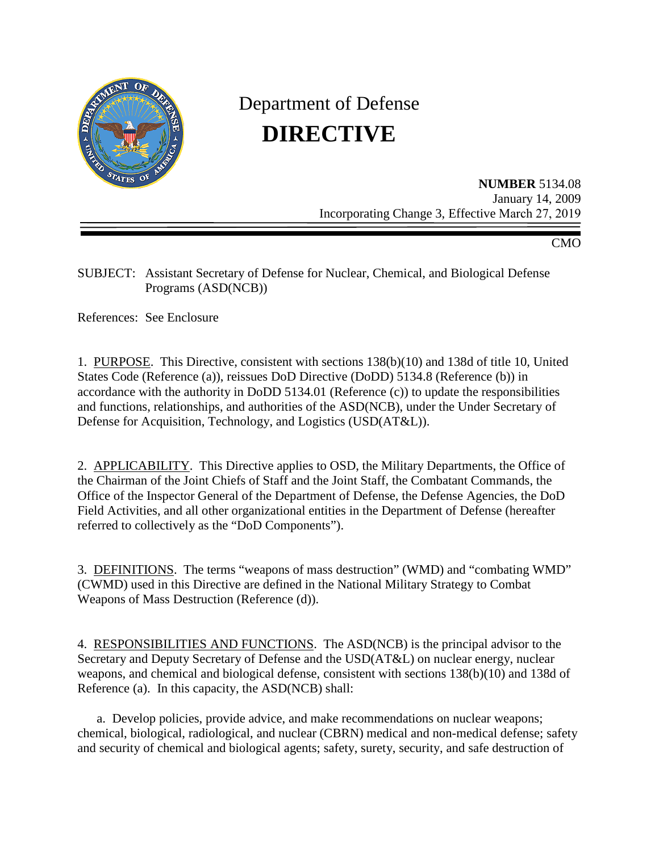

# Department of Defense **DIRECTIVE**

**NUMBER** 5134.08 January 14, 2009 Incorporating Change 3, Effective March 27, 2019

CMO

SUBJECT: Assistant Secretary of Defense for Nuclear, Chemical, and Biological Defense Programs (ASD(NCB))

References: See Enclosure

1. PURPOSE. This Directive, consistent with sections 138(b)(10) and 138d of title 10, United States Code (Reference (a)), reissues DoD Directive (DoDD) 5134.8 (Reference (b)) in accordance with the authority in DoDD 5134.01 (Reference (c)) to update the responsibilities and functions, relationships, and authorities of the ASD(NCB), under the Under Secretary of Defense for Acquisition, Technology, and Logistics (USD(AT&L)).

2. APPLICABILITY. This Directive applies to OSD, the Military Departments, the Office of the Chairman of the Joint Chiefs of Staff and the Joint Staff, the Combatant Commands, the Office of the Inspector General of the Department of Defense, the Defense Agencies, the DoD Field Activities, and all other organizational entities in the Department of Defense (hereafter referred to collectively as the "DoD Components").

3. DEFINITIONS. The terms "weapons of mass destruction" (WMD) and "combating WMD" (CWMD) used in this Directive are defined in the National Military Strategy to Combat Weapons of Mass Destruction (Reference (d)).

4. RESPONSIBILITIES AND FUNCTIONS. The ASD(NCB) is the principal advisor to the Secretary and Deputy Secretary of Defense and the USD(AT&L) on nuclear energy, nuclear weapons, and chemical and biological defense, consistent with sections 138(b)(10) and 138d of Reference (a). In this capacity, the ASD(NCB) shall:

a. Develop policies, provide advice, and make recommendations on nuclear weapons; chemical, biological, radiological, and nuclear (CBRN) medical and non-medical defense; safety and security of chemical and biological agents; safety, surety, security, and safe destruction of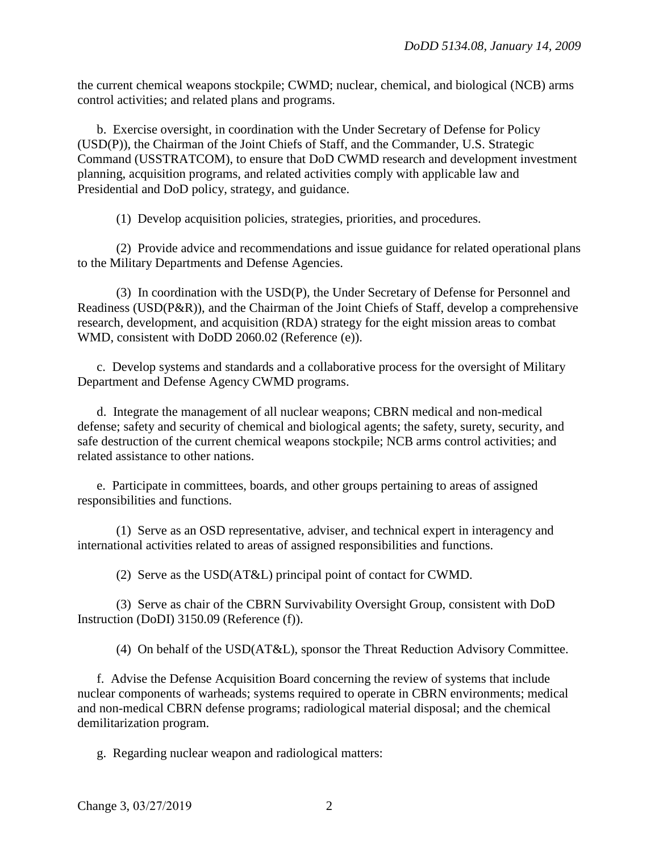the current chemical weapons stockpile; CWMD; nuclear, chemical, and biological (NCB) arms control activities; and related plans and programs.

b. Exercise oversight, in coordination with the Under Secretary of Defense for Policy (USD(P)), the Chairman of the Joint Chiefs of Staff, and the Commander, U.S. Strategic Command (USSTRATCOM), to ensure that DoD CWMD research and development investment planning, acquisition programs, and related activities comply with applicable law and Presidential and DoD policy, strategy, and guidance.

(1) Develop acquisition policies, strategies, priorities, and procedures.

(2) Provide advice and recommendations and issue guidance for related operational plans to the Military Departments and Defense Agencies.

(3) In coordination with the USD(P), the Under Secretary of Defense for Personnel and Readiness (USD(P&R)), and the Chairman of the Joint Chiefs of Staff, develop a comprehensive research, development, and acquisition (RDA) strategy for the eight mission areas to combat WMD, consistent with DoDD 2060.02 (Reference (e)).

c. Develop systems and standards and a collaborative process for the oversight of Military Department and Defense Agency CWMD programs.

d. Integrate the management of all nuclear weapons; CBRN medical and non-medical defense; safety and security of chemical and biological agents; the safety, surety, security, and safe destruction of the current chemical weapons stockpile; NCB arms control activities; and related assistance to other nations.

e. Participate in committees, boards, and other groups pertaining to areas of assigned responsibilities and functions.

(1) Serve as an OSD representative, adviser, and technical expert in interagency and international activities related to areas of assigned responsibilities and functions.

(2) Serve as the USD(AT&L) principal point of contact for CWMD.

(3) Serve as chair of the CBRN Survivability Oversight Group, consistent with DoD Instruction (DoDI) 3150.09 (Reference (f)).

(4) On behalf of the USD(AT&L), sponsor the Threat Reduction Advisory Committee.

f. Advise the Defense Acquisition Board concerning the review of systems that include nuclear components of warheads; systems required to operate in CBRN environments; medical and non-medical CBRN defense programs; radiological material disposal; and the chemical demilitarization program.

g. Regarding nuclear weapon and radiological matters: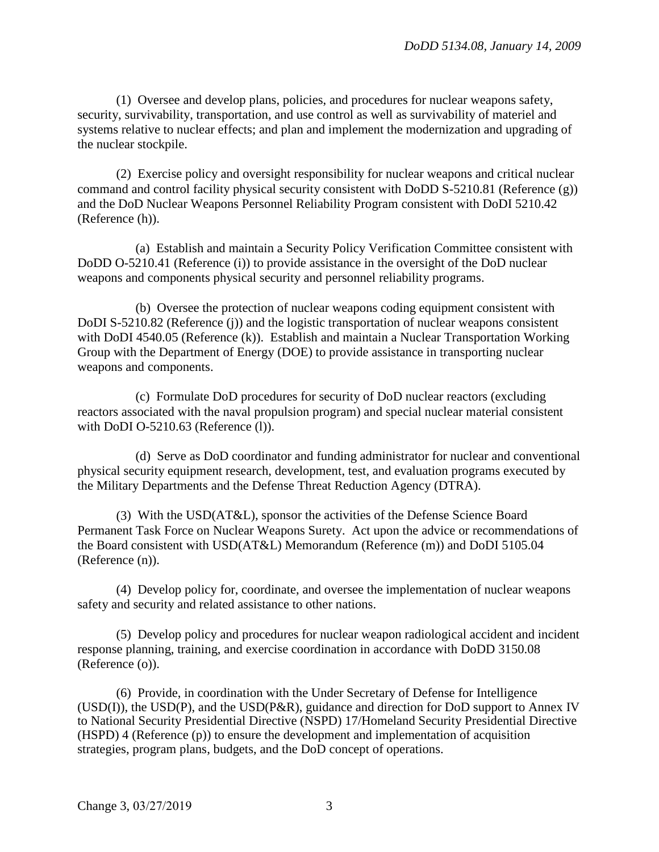(1) Oversee and develop plans, policies, and procedures for nuclear weapons safety, security, survivability, transportation, and use control as well as survivability of materiel and systems relative to nuclear effects; and plan and implement the modernization and upgrading of the nuclear stockpile.

(2) Exercise policy and oversight responsibility for nuclear weapons and critical nuclear command and control facility physical security consistent with DoDD S-5210.81 (Reference (g)) and the DoD Nuclear Weapons Personnel Reliability Program consistent with DoDI 5210.42 (Reference (h)).

(a) Establish and maintain a Security Policy Verification Committee consistent with DoDD O-5210.41 (Reference (i)) to provide assistance in the oversight of the DoD nuclear weapons and components physical security and personnel reliability programs.

(b) Oversee the protection of nuclear weapons coding equipment consistent with DoDI S-5210.82 (Reference (j)) and the logistic transportation of nuclear weapons consistent with DoDI 4540.05 (Reference (k)). Establish and maintain a Nuclear Transportation Working Group with the Department of Energy (DOE) to provide assistance in transporting nuclear weapons and components.

(c) Formulate DoD procedures for security of DoD nuclear reactors (excluding reactors associated with the naval propulsion program) and special nuclear material consistent with DoDI O-5210.63 (Reference (l)).

(d) Serve as DoD coordinator and funding administrator for nuclear and conventional physical security equipment research, development, test, and evaluation programs executed by the Military Departments and the Defense Threat Reduction Agency (DTRA).

(3) With the USD(AT&L), sponsor the activities of the Defense Science Board Permanent Task Force on Nuclear Weapons Surety. Act upon the advice or recommendations of the Board consistent with USD(AT&L) Memorandum (Reference (m)) and DoDI 5105.04 (Reference (n)).

(4) Develop policy for, coordinate, and oversee the implementation of nuclear weapons safety and security and related assistance to other nations.

(5) Develop policy and procedures for nuclear weapon radiological accident and incident response planning, training, and exercise coordination in accordance with DoDD 3150.08 (Reference (o)).

(6) Provide, in coordination with the Under Secretary of Defense for Intelligence (USD(I)), the USD(P), and the USD(P&R), guidance and direction for DoD support to Annex IV to National Security Presidential Directive (NSPD) 17/Homeland Security Presidential Directive (HSPD) 4 (Reference (p)) to ensure the development and implementation of acquisition strategies, program plans, budgets, and the DoD concept of operations.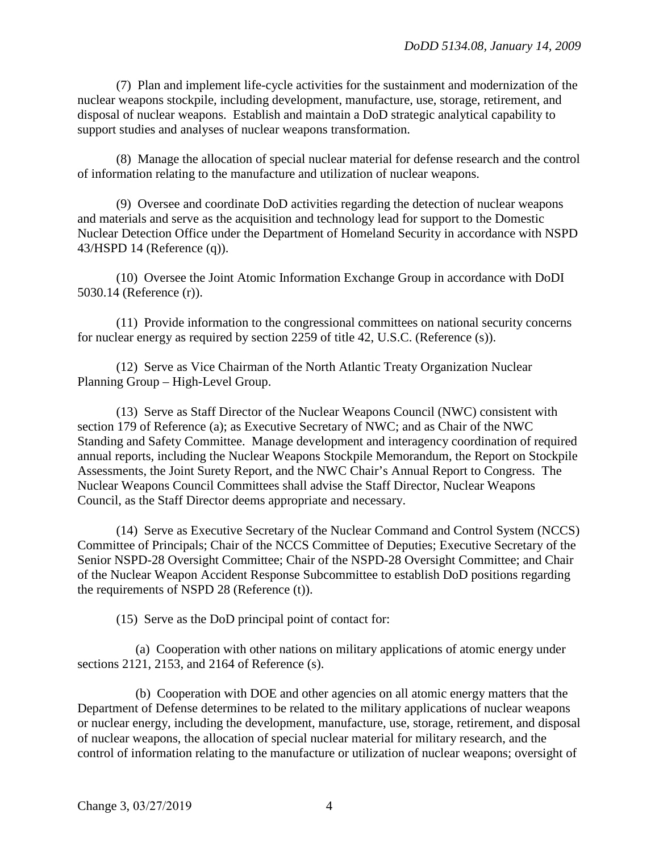(7) Plan and implement life-cycle activities for the sustainment and modernization of the nuclear weapons stockpile, including development, manufacture, use, storage, retirement, and disposal of nuclear weapons. Establish and maintain a DoD strategic analytical capability to support studies and analyses of nuclear weapons transformation.

(8) Manage the allocation of special nuclear material for defense research and the control of information relating to the manufacture and utilization of nuclear weapons.

(9) Oversee and coordinate DoD activities regarding the detection of nuclear weapons and materials and serve as the acquisition and technology lead for support to the Domestic Nuclear Detection Office under the Department of Homeland Security in accordance with NSPD 43/HSPD 14 (Reference (q)).

(10) Oversee the Joint Atomic Information Exchange Group in accordance with DoDI 5030.14 (Reference (r)).

(11) Provide information to the congressional committees on national security concerns for nuclear energy as required by section 2259 of title 42, U.S.C. (Reference (s)).

(12) Serve as Vice Chairman of the North Atlantic Treaty Organization Nuclear Planning Group – High-Level Group.

(13) Serve as Staff Director of the Nuclear Weapons Council (NWC) consistent with section 179 of Reference (a); as Executive Secretary of NWC; and as Chair of the NWC Standing and Safety Committee. Manage development and interagency coordination of required annual reports, including the Nuclear Weapons Stockpile Memorandum, the Report on Stockpile Assessments, the Joint Surety Report, and the NWC Chair's Annual Report to Congress. The Nuclear Weapons Council Committees shall advise the Staff Director, Nuclear Weapons Council, as the Staff Director deems appropriate and necessary.

(14) Serve as Executive Secretary of the Nuclear Command and Control System (NCCS) Committee of Principals; Chair of the NCCS Committee of Deputies; Executive Secretary of the Senior NSPD-28 Oversight Committee; Chair of the NSPD-28 Oversight Committee; and Chair of the Nuclear Weapon Accident Response Subcommittee to establish DoD positions regarding the requirements of NSPD 28 (Reference (t)).

(15) Serve as the DoD principal point of contact for:

(a) Cooperation with other nations on military applications of atomic energy under sections 2121, 2153, and 2164 of Reference (s).

(b) Cooperation with DOE and other agencies on all atomic energy matters that the Department of Defense determines to be related to the military applications of nuclear weapons or nuclear energy, including the development, manufacture, use, storage, retirement, and disposal of nuclear weapons, the allocation of special nuclear material for military research, and the control of information relating to the manufacture or utilization of nuclear weapons; oversight of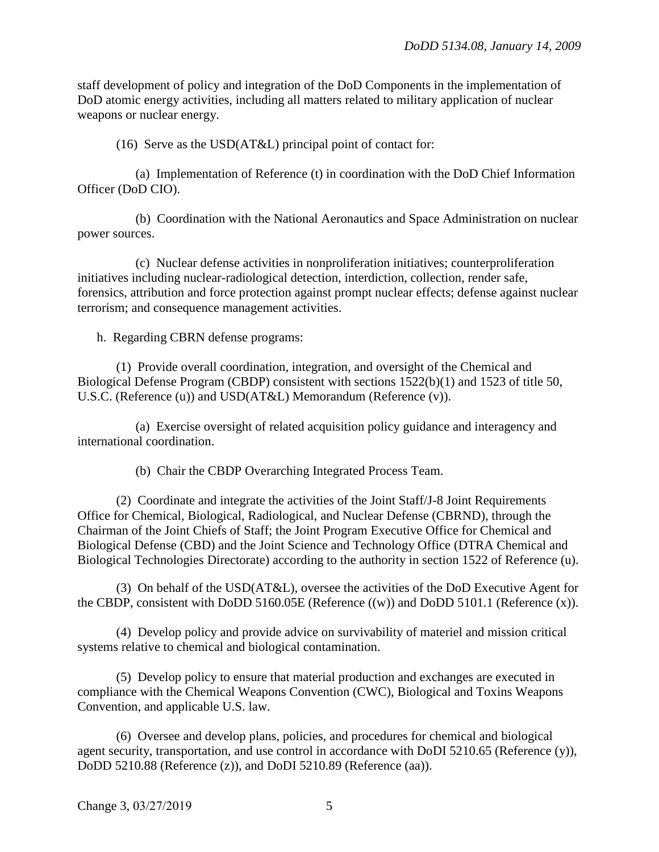staff development of policy and integration of the DoD Components in the implementation of DoD atomic energy activities, including all matters related to military application of nuclear weapons or nuclear energy.

(16) Serve as the USD(AT&L) principal point of contact for:

(a) Implementation of Reference (t) in coordination with the DoD Chief Information Officer (DoD CIO).

(b) Coordination with the National Aeronautics and Space Administration on nuclear power sources.

(c) Nuclear defense activities in nonproliferation initiatives; counterproliferation initiatives including nuclear-radiological detection, interdiction, collection, render safe, forensics, attribution and force protection against prompt nuclear effects; defense against nuclear terrorism; and consequence management activities.

h. Regarding CBRN defense programs:

(1) Provide overall coordination, integration, and oversight of the Chemical and Biological Defense Program (CBDP) consistent with sections 1522(b)(1) and 1523 of title 50, U.S.C. (Reference (u)) and USD(AT&L) Memorandum (Reference (v)).

(a) Exercise oversight of related acquisition policy guidance and interagency and international coordination.

(b) Chair the CBDP Overarching Integrated Process Team.

(2) Coordinate and integrate the activities of the Joint Staff/J-8 Joint Requirements Office for Chemical, Biological, Radiological, and Nuclear Defense (CBRND), through the Chairman of the Joint Chiefs of Staff; the Joint Program Executive Office for Chemical and Biological Defense (CBD) and the Joint Science and Technology Office (DTRA Chemical and Biological Technologies Directorate) according to the authority in section 1522 of Reference (u).

(3) On behalf of the USD(AT&L), oversee the activities of the DoD Executive Agent for the CBDP, consistent with DoDD 5160.05E (Reference ((w)) and DoDD 5101.1 (Reference (x)).

(4) Develop policy and provide advice on survivability of materiel and mission critical systems relative to chemical and biological contamination.

(5) Develop policy to ensure that material production and exchanges are executed in compliance with the Chemical Weapons Convention (CWC), Biological and Toxins Weapons Convention, and applicable U.S. law.

(6) Oversee and develop plans, policies, and procedures for chemical and biological agent security, transportation, and use control in accordance with DoDI 5210.65 (Reference (y)), DoDD 5210.88 (Reference (z)), and DoDI 5210.89 (Reference (aa)).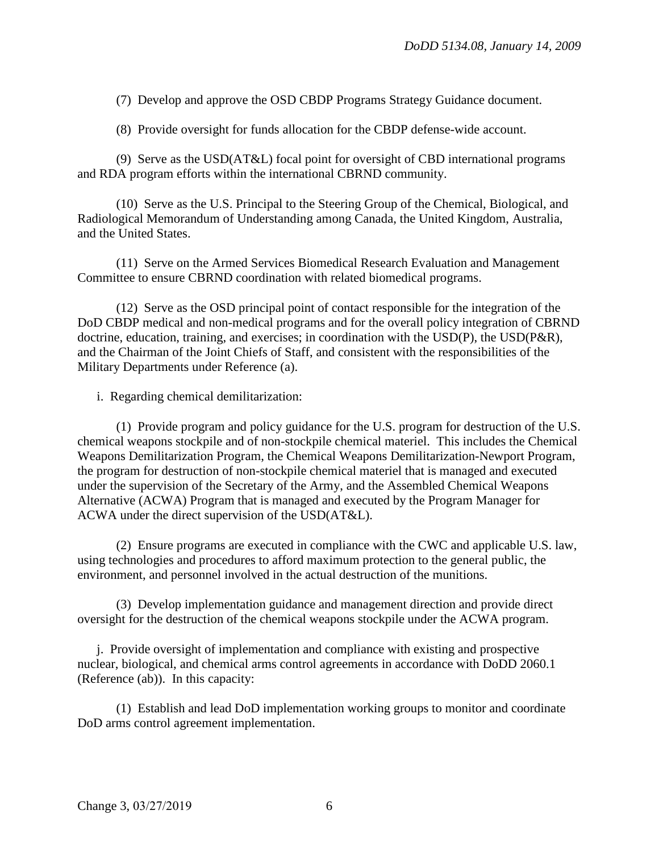(7) Develop and approve the OSD CBDP Programs Strategy Guidance document.

(8) Provide oversight for funds allocation for the CBDP defense-wide account.

(9) Serve as the USD(AT&L) focal point for oversight of CBD international programs and RDA program efforts within the international CBRND community.

(10) Serve as the U.S. Principal to the Steering Group of the Chemical, Biological, and Radiological Memorandum of Understanding among Canada, the United Kingdom, Australia, and the United States.

(11) Serve on the Armed Services Biomedical Research Evaluation and Management Committee to ensure CBRND coordination with related biomedical programs.

(12) Serve as the OSD principal point of contact responsible for the integration of the DoD CBDP medical and non-medical programs and for the overall policy integration of CBRND doctrine, education, training, and exercises; in coordination with the  $\text{USD}(P)$ , the  $\text{USD}(P\&R)$ , and the Chairman of the Joint Chiefs of Staff, and consistent with the responsibilities of the Military Departments under Reference (a).

i. Regarding chemical demilitarization:

(1) Provide program and policy guidance for the U.S. program for destruction of the U.S. chemical weapons stockpile and of non-stockpile chemical materiel. This includes the Chemical Weapons Demilitarization Program, the Chemical Weapons Demilitarization-Newport Program, the program for destruction of non-stockpile chemical materiel that is managed and executed under the supervision of the Secretary of the Army, and the Assembled Chemical Weapons Alternative (ACWA) Program that is managed and executed by the Program Manager for ACWA under the direct supervision of the USD(AT&L).

(2) Ensure programs are executed in compliance with the CWC and applicable U.S. law, using technologies and procedures to afford maximum protection to the general public, the environment, and personnel involved in the actual destruction of the munitions.

(3) Develop implementation guidance and management direction and provide direct oversight for the destruction of the chemical weapons stockpile under the ACWA program.

j. Provide oversight of implementation and compliance with existing and prospective nuclear, biological, and chemical arms control agreements in accordance with DoDD 2060.1 (Reference (ab)). In this capacity:

(1) Establish and lead DoD implementation working groups to monitor and coordinate DoD arms control agreement implementation.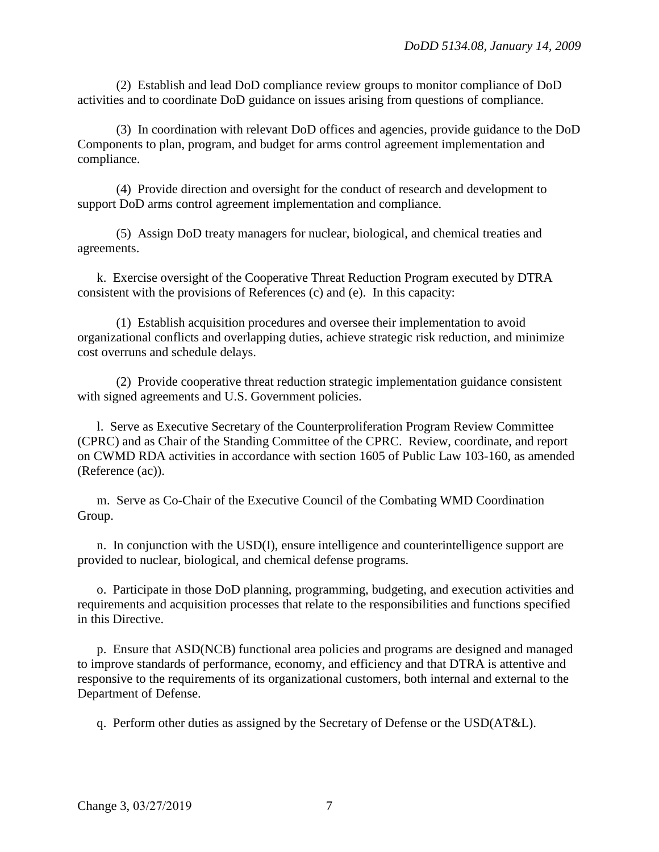(2) Establish and lead DoD compliance review groups to monitor compliance of DoD activities and to coordinate DoD guidance on issues arising from questions of compliance.

(3) In coordination with relevant DoD offices and agencies, provide guidance to the DoD Components to plan, program, and budget for arms control agreement implementation and compliance.

(4) Provide direction and oversight for the conduct of research and development to support DoD arms control agreement implementation and compliance.

(5) Assign DoD treaty managers for nuclear, biological, and chemical treaties and agreements.

k. Exercise oversight of the Cooperative Threat Reduction Program executed by DTRA consistent with the provisions of References (c) and (e). In this capacity:

(1) Establish acquisition procedures and oversee their implementation to avoid organizational conflicts and overlapping duties, achieve strategic risk reduction, and minimize cost overruns and schedule delays.

(2) Provide cooperative threat reduction strategic implementation guidance consistent with signed agreements and U.S. Government policies.

l. Serve as Executive Secretary of the Counterproliferation Program Review Committee (CPRC) and as Chair of the Standing Committee of the CPRC. Review, coordinate, and report on CWMD RDA activities in accordance with section 1605 of Public Law 103-160, as amended (Reference (ac)).

m. Serve as Co-Chair of the Executive Council of the Combating WMD Coordination Group.

n. In conjunction with the USD(I), ensure intelligence and counterintelligence support are provided to nuclear, biological, and chemical defense programs.

o. Participate in those DoD planning, programming, budgeting, and execution activities and requirements and acquisition processes that relate to the responsibilities and functions specified in this Directive.

p. Ensure that ASD(NCB) functional area policies and programs are designed and managed to improve standards of performance, economy, and efficiency and that DTRA is attentive and responsive to the requirements of its organizational customers, both internal and external to the Department of Defense.

q. Perform other duties as assigned by the Secretary of Defense or the USD(AT&L).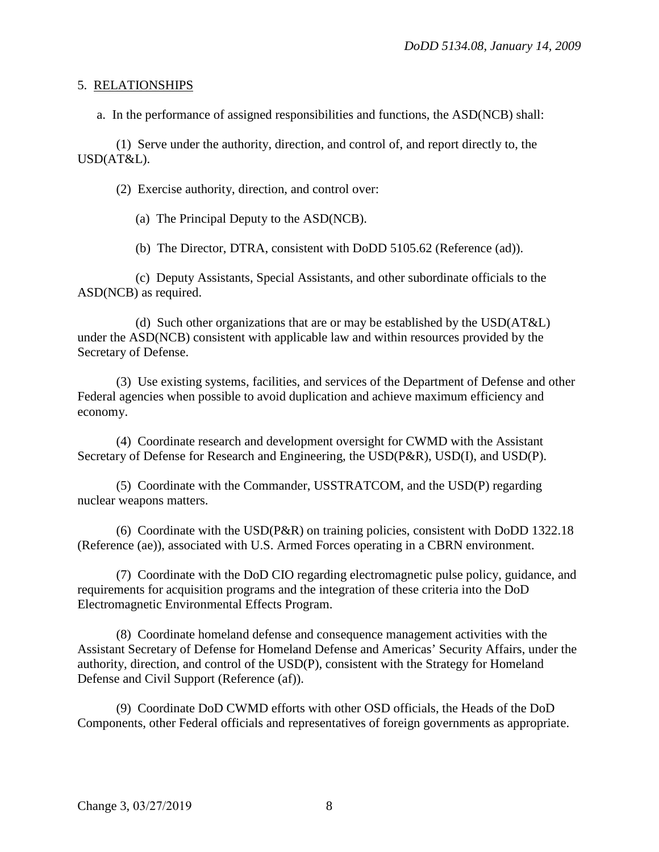#### 5. RELATIONSHIPS

a. In the performance of assigned responsibilities and functions, the ASD(NCB) shall:

(1) Serve under the authority, direction, and control of, and report directly to, the USD(AT&L).

(2) Exercise authority, direction, and control over:

(a) The Principal Deputy to the ASD(NCB).

(b) The Director, DTRA, consistent with DoDD 5105.62 (Reference (ad)).

(c) Deputy Assistants, Special Assistants, and other subordinate officials to the ASD(NCB) as required.

(d) Such other organizations that are or may be established by the USD(AT&L) under the ASD(NCB) consistent with applicable law and within resources provided by the Secretary of Defense.

(3) Use existing systems, facilities, and services of the Department of Defense and other Federal agencies when possible to avoid duplication and achieve maximum efficiency and economy.

(4) Coordinate research and development oversight for CWMD with the Assistant Secretary of Defense for Research and Engineering, the USD(P&R), USD(I), and USD(P).

(5) Coordinate with the Commander, USSTRATCOM, and the USD(P) regarding nuclear weapons matters.

(6) Coordinate with the USD(P&R) on training policies, consistent with DoDD 1322.18 (Reference (ae)), associated with U.S. Armed Forces operating in a CBRN environment.

(7) Coordinate with the DoD CIO regarding electromagnetic pulse policy, guidance, and requirements for acquisition programs and the integration of these criteria into the DoD Electromagnetic Environmental Effects Program.

(8) Coordinate homeland defense and consequence management activities with the Assistant Secretary of Defense for Homeland Defense and Americas' Security Affairs, under the authority, direction, and control of the USD(P), consistent with the Strategy for Homeland Defense and Civil Support (Reference (af)).

(9) Coordinate DoD CWMD efforts with other OSD officials, the Heads of the DoD Components, other Federal officials and representatives of foreign governments as appropriate.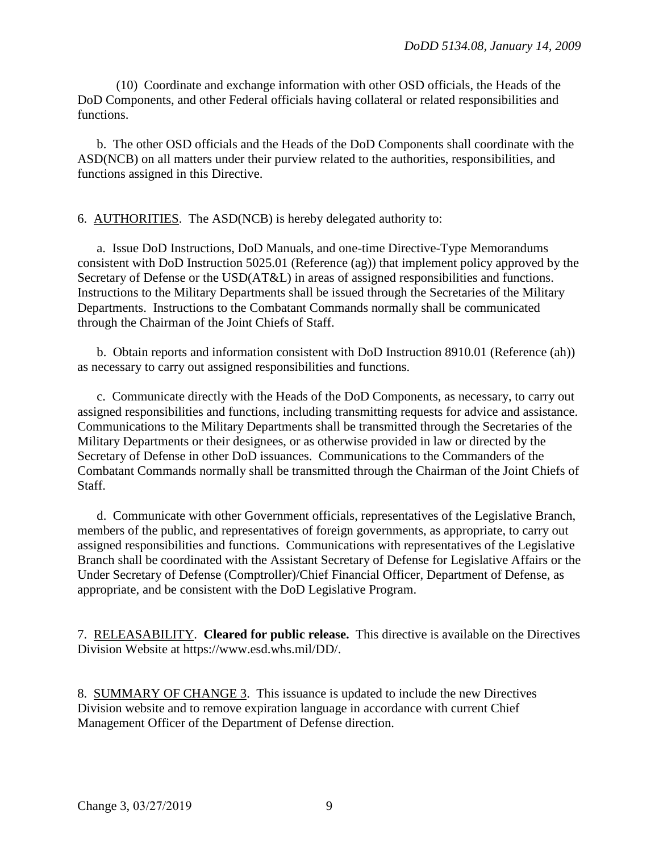(10) Coordinate and exchange information with other OSD officials, the Heads of the DoD Components, and other Federal officials having collateral or related responsibilities and functions.

b. The other OSD officials and the Heads of the DoD Components shall coordinate with the ASD(NCB) on all matters under their purview related to the authorities, responsibilities, and functions assigned in this Directive.

## 6. AUTHORITIES. The ASD(NCB) is hereby delegated authority to:

a. Issue DoD Instructions, DoD Manuals, and one-time Directive-Type Memorandums consistent with DoD Instruction 5025.01 (Reference (ag)) that implement policy approved by the Secretary of Defense or the USD(AT&L) in areas of assigned responsibilities and functions. Instructions to the Military Departments shall be issued through the Secretaries of the Military Departments. Instructions to the Combatant Commands normally shall be communicated through the Chairman of the Joint Chiefs of Staff.

b. Obtain reports and information consistent with DoD Instruction 8910.01 (Reference (ah)) as necessary to carry out assigned responsibilities and functions.

c. Communicate directly with the Heads of the DoD Components, as necessary, to carry out assigned responsibilities and functions, including transmitting requests for advice and assistance. Communications to the Military Departments shall be transmitted through the Secretaries of the Military Departments or their designees, or as otherwise provided in law or directed by the Secretary of Defense in other DoD issuances. Communications to the Commanders of the Combatant Commands normally shall be transmitted through the Chairman of the Joint Chiefs of Staff.

d. Communicate with other Government officials, representatives of the Legislative Branch, members of the public, and representatives of foreign governments, as appropriate, to carry out assigned responsibilities and functions. Communications with representatives of the Legislative Branch shall be coordinated with the Assistant Secretary of Defense for Legislative Affairs or the Under Secretary of Defense (Comptroller)/Chief Financial Officer, Department of Defense, as appropriate, and be consistent with the DoD Legislative Program.

7. RELEASABILITY. **Cleared for public release.** This directive is available on the Directives Division Website at https://www.esd.whs.mil/DD/.

8. SUMMARY OF CHANGE 3. This issuance is updated to include the new Directives Division website and to remove expiration language in accordance with current Chief Management Officer of the Department of Defense direction.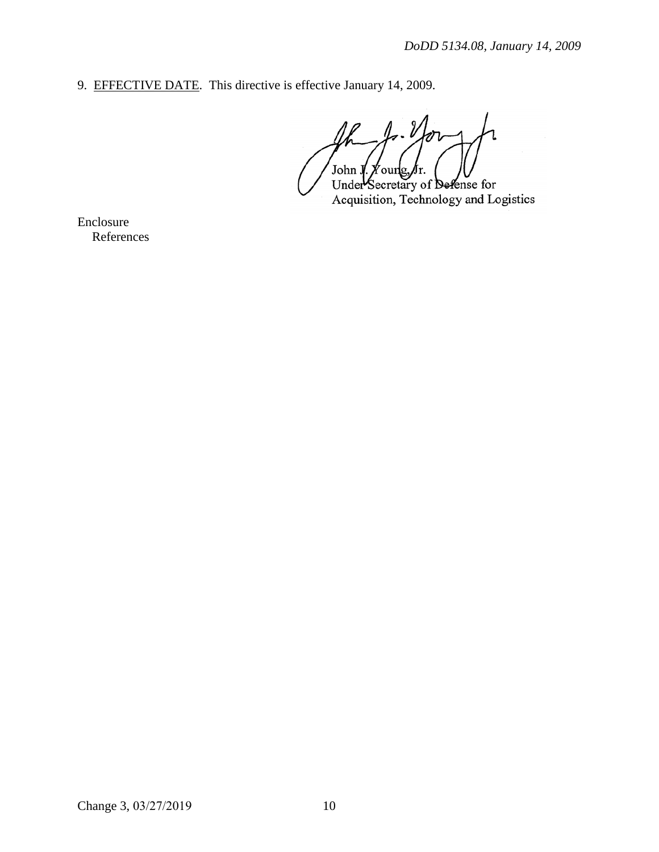9. EFFECTIVE DATE. This directive is effective January 14, 2009.

 $1, 1$ John J. Foung Лr.

Under Secretary of Defense for Acquisition, Technology and Logistics

Enclosure References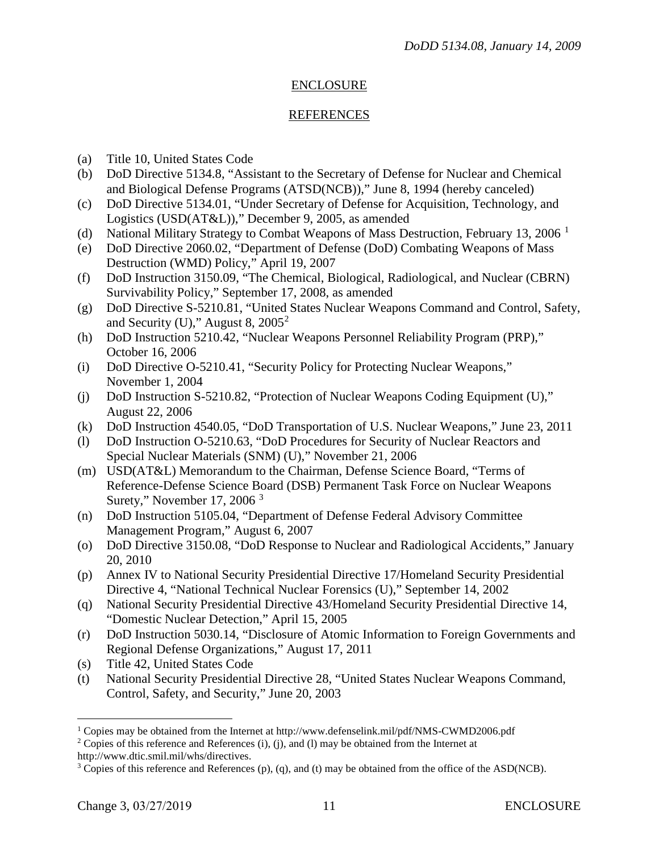## ENCLOSURE

### REFERENCES

- (a) Title 10, United States Code
- (b) DoD Directive 5134.8, "Assistant to the Secretary of Defense for Nuclear and Chemical and Biological Defense Programs (ATSD(NCB))," June 8, 1994 (hereby canceled)
- (c) DoD Directive 5134.01, "Under Secretary of Defense for Acquisition, Technology, and Logistics (USD(AT&L))," December 9, 2005, as amended
- (d) National Military Strategy to Combat Weapons of Mass Destruction, February [1](#page-10-0)3, 2006<sup>1</sup>
- (e) DoD Directive 2060.02, "Department of Defense (DoD) Combating Weapons of Mass Destruction (WMD) Policy," April 19, 2007
- (f) DoD Instruction 3150.09, "The Chemical, Biological, Radiological, and Nuclear (CBRN) Survivability Policy," September 17, 2008, as amended
- (g) DoD Directive S-5210.81, "United States Nuclear Weapons Command and Control, Safety, and Security (U)," August 8,  $2005^2$  $2005^2$
- (h) DoD Instruction 5210.42, "Nuclear Weapons Personnel Reliability Program (PRP)," October 16, 2006
- (i) DoD Directive O-5210.41, "Security Policy for Protecting Nuclear Weapons," November 1, 2004
- (j) DoD Instruction S-5210.82, "Protection of Nuclear Weapons Coding Equipment (U)," August 22, 2006
- (k) DoD Instruction 4540.05, "DoD Transportation of U.S. Nuclear Weapons," June 23, 2011
- (l) DoD Instruction O-5210.63, "DoD Procedures for Security of Nuclear Reactors and Special Nuclear Materials (SNM) (U)," November 21, 2006
- (m) USD(AT&L) Memorandum to the Chairman, Defense Science Board, "Terms of Reference-Defense Science Board (DSB) Permanent Task Force on Nuclear Weapons Surety," November 17, 2006<sup>[3](#page-10-2)</sup>
- (n) DoD Instruction 5105.04, "Department of Defense Federal Advisory Committee Management Program," August 6, 2007
- (o) DoD Directive 3150.08, "DoD Response to Nuclear and Radiological Accidents," January 20, 2010
- (p) Annex IV to National Security Presidential Directive 17/Homeland Security Presidential Directive 4, "National Technical Nuclear Forensics (U)," September 14, 2002
- (q) National Security Presidential Directive 43/Homeland Security Presidential Directive 14, "Domestic Nuclear Detection," April 15, 2005
- (r) DoD Instruction 5030.14, "Disclosure of Atomic Information to Foreign Governments and Regional Defense Organizations," August 17, 2011
- (s) Title 42, United States Code
- (t) National Security Presidential Directive 28, "United States Nuclear Weapons Command, Control, Safety, and Security," June 20, 2003

<span id="page-10-0"></span><sup>&</sup>lt;sup>1</sup> Copies may be obtained from the Internet at http://www.defenselink.mil/pdf/NMS-CWMD2006.pdf

<span id="page-10-1"></span> $2$  Copies of this reference and References (i), (j), and (l) may be obtained from the Internet at http://www.dtic.smil.mil/whs/directives.

<span id="page-10-2"></span> $3$  Copies of this reference and References (p), (q), and (t) may be obtained from the office of the ASD(NCB).